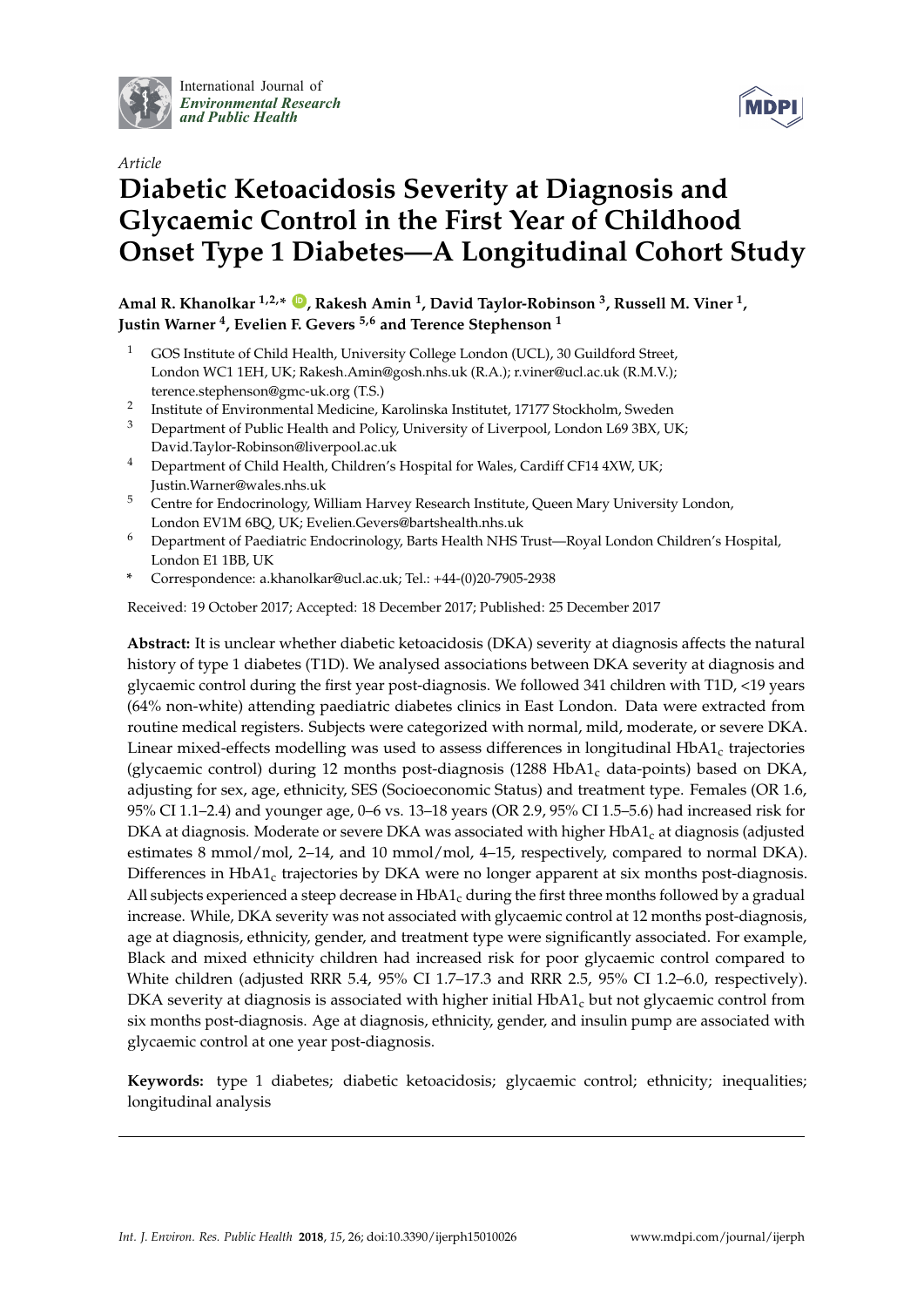

International Journal of *[Environmental Research](http://www.mdpi.com/journal/ijerph) and Public Health*





# **Diabetic Ketoacidosis Severity at Diagnosis and Glycaemic Control in the First Year of Childhood Onset Type 1 Diabetes—A Longitudinal Cohort Study**

**Amal R. Khanolkar 1,2,\* [ID](https://orcid.org/0000-0002-6327-2463) , Rakesh Amin <sup>1</sup> , David Taylor-Robinson <sup>3</sup> , Russell M. Viner <sup>1</sup> , Justin Warner <sup>4</sup> , Evelien F. Gevers 5,6 and Terence Stephenson <sup>1</sup>**

- <sup>1</sup> GOS Institute of Child Health, University College London (UCL), 30 Guildford Street, London WC1 1EH, UK; Rakesh.Amin@gosh.nhs.uk (R.A.); r.viner@ucl.ac.uk (R.M.V.); terence.stephenson@gmc-uk.org (T.S.)
- $2^{\circ}$ Institute of Environmental Medicine, Karolinska Institutet, 17177 Stockholm, Sweden
- <sup>3</sup> Department of Public Health and Policy, University of Liverpool, London L69 3BX, UK; David.Taylor-Robinson@liverpool.ac.uk
- <sup>4</sup> Department of Child Health, Children's Hospital for Wales, Cardiff CF14 4XW, UK; Justin.Warner@wales.nhs.uk
- <sup>5</sup> Centre for Endocrinology, William Harvey Research Institute, Queen Mary University London, London EV1M 6BQ, UK; Evelien.Gevers@bartshealth.nhs.uk
- <sup>6</sup> Department of Paediatric Endocrinology, Barts Health NHS Trust—Royal London Children's Hospital, London E1 1BB, UK
- **\*** Correspondence: a.khanolkar@ucl.ac.uk; Tel.: +44-(0)20-7905-2938

Received: 19 October 2017; Accepted: 18 December 2017; Published: 25 December 2017

**Abstract:** It is unclear whether diabetic ketoacidosis (DKA) severity at diagnosis affects the natural history of type 1 diabetes (T1D). We analysed associations between DKA severity at diagnosis and glycaemic control during the first year post-diagnosis. We followed 341 children with T1D, <19 years (64% non-white) attending paediatric diabetes clinics in East London. Data were extracted from routine medical registers. Subjects were categorized with normal, mild, moderate, or severe DKA. Linear mixed-effects modelling was used to assess differences in longitudinal  $HbA1_c$  trajectories (glycaemic control) during 12 months post-diagnosis  $(1288 \text{ HbA1}_c \text{ data-points})$  based on DKA, adjusting for sex, age, ethnicity, SES (Socioeconomic Status) and treatment type. Females (OR 1.6, 95% CI 1.1–2.4) and younger age, 0–6 vs. 13–18 years (OR 2.9, 95% CI 1.5–5.6) had increased risk for DKA at diagnosis. Moderate or severe DKA was associated with higher  $HbA1_c$  at diagnosis (adjusted estimates 8 mmol/mol, 2–14, and 10 mmol/mol, 4–15, respectively, compared to normal DKA). Differences in  $HbA1_c$  trajectories by DKA were no longer apparent at six months post-diagnosis. All subjects experienced a steep decrease in  $HbA1_c$  during the first three months followed by a gradual increase. While, DKA severity was not associated with glycaemic control at 12 months post-diagnosis, age at diagnosis, ethnicity, gender, and treatment type were significantly associated. For example, Black and mixed ethnicity children had increased risk for poor glycaemic control compared to White children (adjusted RRR 5.4, 95% CI 1.7–17.3 and RRR 2.5, 95% CI 1.2–6.0, respectively). DKA severity at diagnosis is associated with higher initial  $HbA1_c$  but not glycaemic control from six months post-diagnosis. Age at diagnosis, ethnicity, gender, and insulin pump are associated with glycaemic control at one year post-diagnosis.

**Keywords:** type 1 diabetes; diabetic ketoacidosis; glycaemic control; ethnicity; inequalities; longitudinal analysis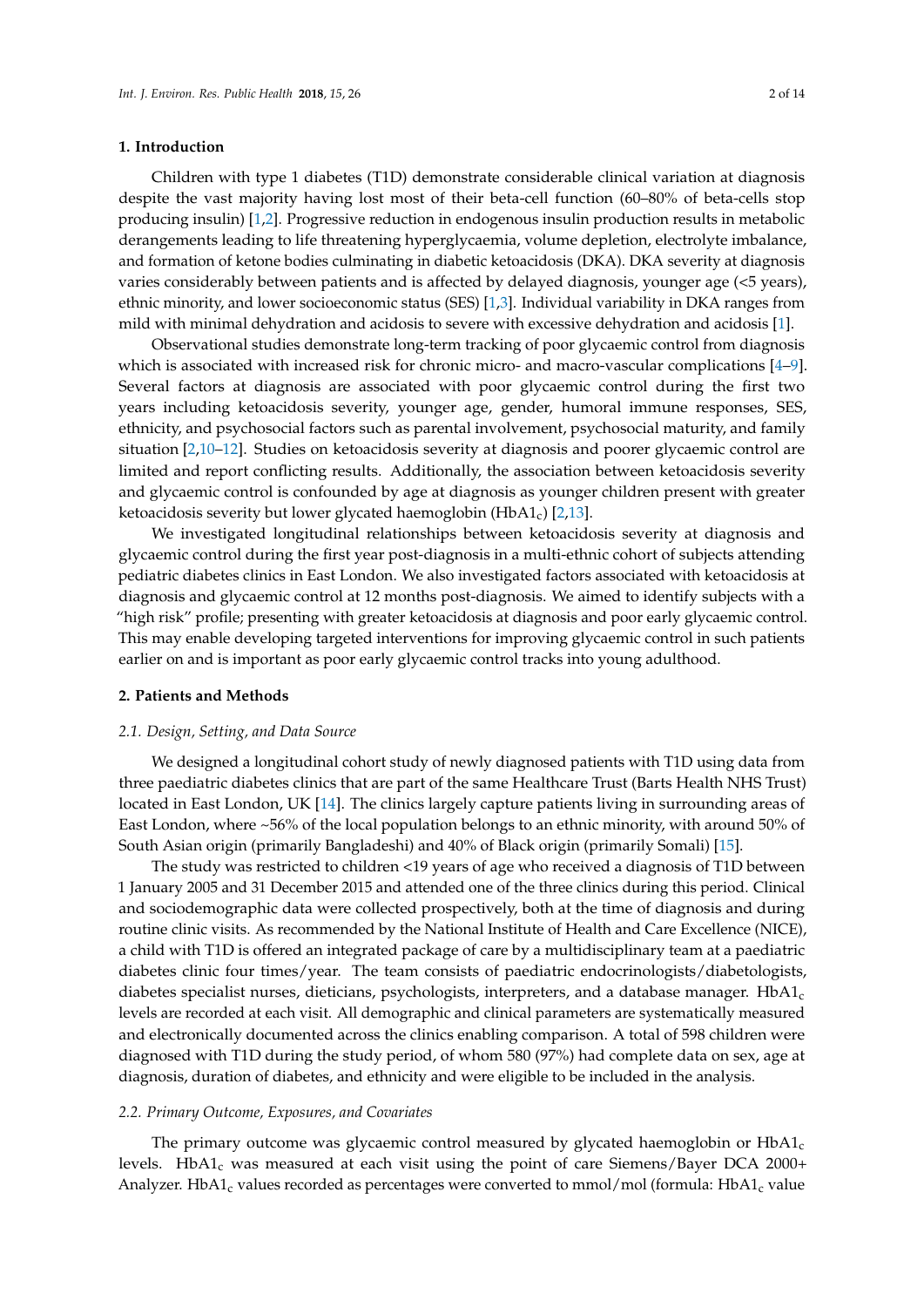#### **1. Introduction**

Children with type 1 diabetes (T1D) demonstrate considerable clinical variation at diagnosis despite the vast majority having lost most of their beta-cell function (60–80% of beta-cells stop producing insulin) [\[1,](#page-11-0)[2\]](#page-11-1). Progressive reduction in endogenous insulin production results in metabolic derangements leading to life threatening hyperglycaemia, volume depletion, electrolyte imbalance, and formation of ketone bodies culminating in diabetic ketoacidosis (DKA). DKA severity at diagnosis varies considerably between patients and is affected by delayed diagnosis, younger age (<5 years), ethnic minority, and lower socioeconomic status (SES) [\[1](#page-11-0)[,3\]](#page-12-0). Individual variability in DKA ranges from mild with minimal dehydration and acidosis to severe with excessive dehydration and acidosis [\[1\]](#page-11-0).

Observational studies demonstrate long-term tracking of poor glycaemic control from diagnosis which is associated with increased risk for chronic micro- and macro-vascular complications [\[4](#page-12-1)[–9\]](#page-12-2). Several factors at diagnosis are associated with poor glycaemic control during the first two years including ketoacidosis severity, younger age, gender, humoral immune responses, SES, ethnicity, and psychosocial factors such as parental involvement, psychosocial maturity, and family situation [\[2,](#page-11-1)[10–](#page-12-3)[12\]](#page-12-4). Studies on ketoacidosis severity at diagnosis and poorer glycaemic control are limited and report conflicting results. Additionally, the association between ketoacidosis severity and glycaemic control is confounded by age at diagnosis as younger children present with greater ketoacidosis severity but lower glycated haemoglobin  $(HbA1_c)$  [\[2](#page-11-1)[,13\]](#page-12-5).

We investigated longitudinal relationships between ketoacidosis severity at diagnosis and glycaemic control during the first year post-diagnosis in a multi-ethnic cohort of subjects attending pediatric diabetes clinics in East London. We also investigated factors associated with ketoacidosis at diagnosis and glycaemic control at 12 months post-diagnosis. We aimed to identify subjects with a "high risk" profile; presenting with greater ketoacidosis at diagnosis and poor early glycaemic control. This may enable developing targeted interventions for improving glycaemic control in such patients earlier on and is important as poor early glycaemic control tracks into young adulthood.

#### **2. Patients and Methods**

#### *2.1. Design, Setting, and Data Source*

We designed a longitudinal cohort study of newly diagnosed patients with T1D using data from three paediatric diabetes clinics that are part of the same Healthcare Trust (Barts Health NHS Trust) located in East London, UK [\[14\]](#page-12-6). The clinics largely capture patients living in surrounding areas of East London, where ~56% of the local population belongs to an ethnic minority, with around 50% of South Asian origin (primarily Bangladeshi) and 40% of Black origin (primarily Somali) [\[15\]](#page-12-7).

The study was restricted to children <19 years of age who received a diagnosis of T1D between 1 January 2005 and 31 December 2015 and attended one of the three clinics during this period. Clinical and sociodemographic data were collected prospectively, both at the time of diagnosis and during routine clinic visits. As recommended by the National Institute of Health and Care Excellence (NICE), a child with T1D is offered an integrated package of care by a multidisciplinary team at a paediatric diabetes clinic four times/year. The team consists of paediatric endocrinologists/diabetologists, diabetes specialist nurses, dieticians, psychologists, interpreters, and a database manager.  $HbA1_c$ levels are recorded at each visit. All demographic and clinical parameters are systematically measured and electronically documented across the clinics enabling comparison. A total of 598 children were diagnosed with T1D during the study period, of whom 580 (97%) had complete data on sex, age at diagnosis, duration of diabetes, and ethnicity and were eligible to be included in the analysis.

# *2.2. Primary Outcome, Exposures, and Covariates*

The primary outcome was glycaemic control measured by glycated haemoglobin or  $HbA1_c$ levels. HbA1<sub>c</sub> was measured at each visit using the point of care Siemens/Bayer DCA 2000+ Analyzer. HbA1<sub>c</sub> values recorded as percentages were converted to mmol/mol (formula: HbA1<sub>c</sub> value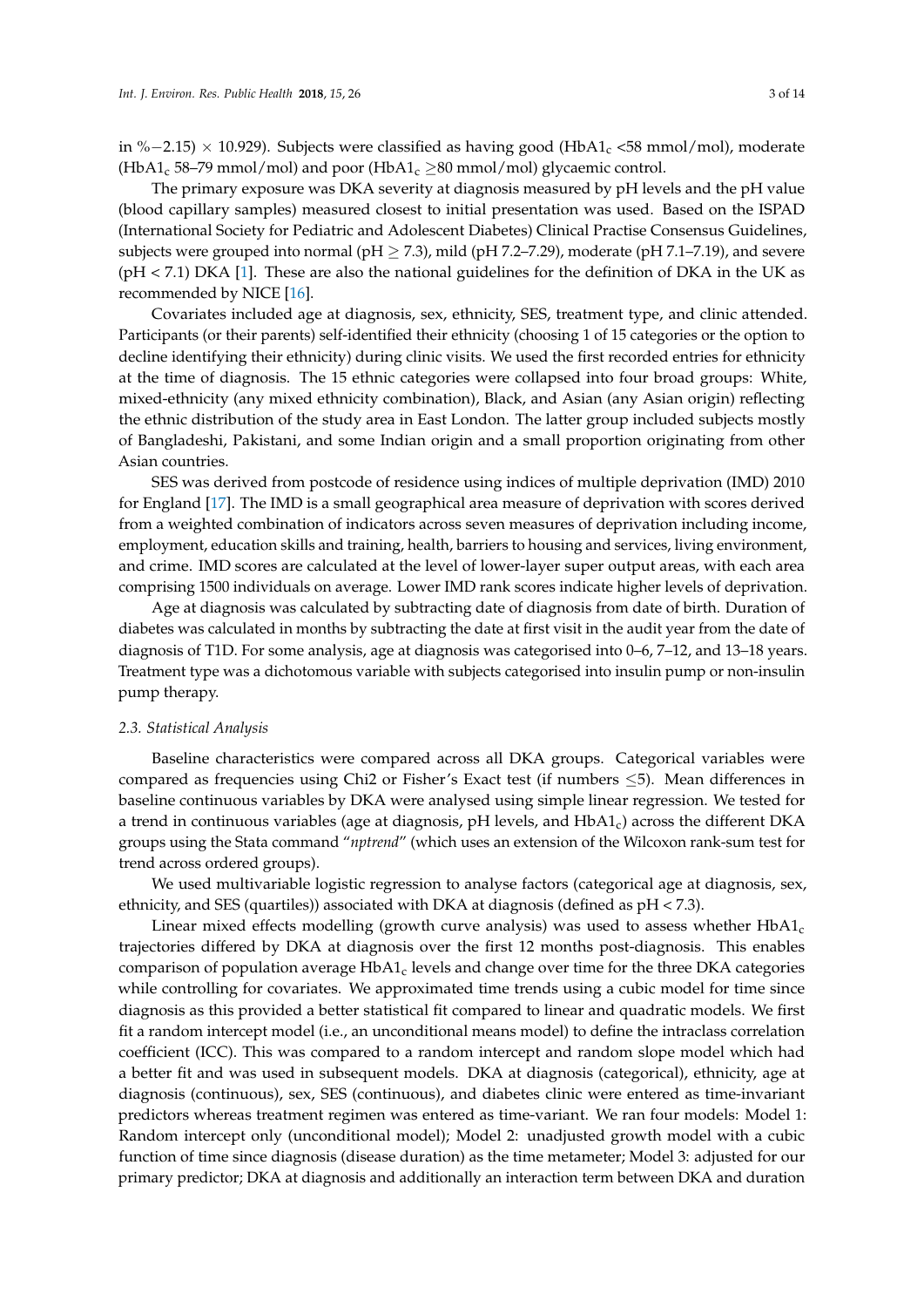in %−2.15) × 10.929). Subjects were classified as having good (HbA1<sub>c</sub> <58 mmol/mol), moderate (HbA1<sub>c</sub> 58–79 mmol/mol) and poor (HbA1<sub>c</sub>  $\geq$ 80 mmol/mol) glycaemic control.

The primary exposure was DKA severity at diagnosis measured by pH levels and the pH value (blood capillary samples) measured closest to initial presentation was used. Based on the ISPAD (International Society for Pediatric and Adolescent Diabetes) Clinical Practise Consensus Guidelines, subjects were grouped into normal (pH  $\geq$  7.3), mild (pH 7.2–7.29), moderate (pH 7.1–7.19), and severe (pH < 7.1) DKA [\[1\]](#page-11-0). These are also the national guidelines for the definition of DKA in the UK as recommended by NICE [\[16\]](#page-12-8).

Covariates included age at diagnosis, sex, ethnicity, SES, treatment type, and clinic attended. Participants (or their parents) self-identified their ethnicity (choosing 1 of 15 categories or the option to decline identifying their ethnicity) during clinic visits. We used the first recorded entries for ethnicity at the time of diagnosis. The 15 ethnic categories were collapsed into four broad groups: White, mixed-ethnicity (any mixed ethnicity combination), Black, and Asian (any Asian origin) reflecting the ethnic distribution of the study area in East London. The latter group included subjects mostly of Bangladeshi, Pakistani, and some Indian origin and a small proportion originating from other Asian countries.

SES was derived from postcode of residence using indices of multiple deprivation (IMD) 2010 for England [\[17\]](#page-12-9). The IMD is a small geographical area measure of deprivation with scores derived from a weighted combination of indicators across seven measures of deprivation including income, employment, education skills and training, health, barriers to housing and services, living environment, and crime. IMD scores are calculated at the level of lower-layer super output areas, with each area comprising 1500 individuals on average. Lower IMD rank scores indicate higher levels of deprivation.

Age at diagnosis was calculated by subtracting date of diagnosis from date of birth. Duration of diabetes was calculated in months by subtracting the date at first visit in the audit year from the date of diagnosis of T1D. For some analysis, age at diagnosis was categorised into 0–6, 7–12, and 13–18 years. Treatment type was a dichotomous variable with subjects categorised into insulin pump or non-insulin pump therapy.

#### *2.3. Statistical Analysis*

Baseline characteristics were compared across all DKA groups. Categorical variables were compared as frequencies using Chi2 or Fisher's Exact test (if numbers ≤5). Mean differences in baseline continuous variables by DKA were analysed using simple linear regression. We tested for a trend in continuous variables (age at diagnosis, pH levels, and HbA1<sub>c</sub>) across the different DKA groups using the Stata command "*nptrend*" (which uses an extension of the Wilcoxon rank-sum test for trend across ordered groups).

We used multivariable logistic regression to analyse factors (categorical age at diagnosis, sex, ethnicity, and SES (quartiles)) associated with DKA at diagnosis (defined as pH < 7.3).

Linear mixed effects modelling (growth curve analysis) was used to assess whether  $HbA1_c$ trajectories differed by DKA at diagnosis over the first 12 months post-diagnosis. This enables comparison of population average  $HbA1_c$  levels and change over time for the three DKA categories while controlling for covariates. We approximated time trends using a cubic model for time since diagnosis as this provided a better statistical fit compared to linear and quadratic models. We first fit a random intercept model (i.e., an unconditional means model) to define the intraclass correlation coefficient (ICC). This was compared to a random intercept and random slope model which had a better fit and was used in subsequent models. DKA at diagnosis (categorical), ethnicity, age at diagnosis (continuous), sex, SES (continuous), and diabetes clinic were entered as time-invariant predictors whereas treatment regimen was entered as time-variant. We ran four models: Model 1: Random intercept only (unconditional model); Model 2: unadjusted growth model with a cubic function of time since diagnosis (disease duration) as the time metameter; Model 3: adjusted for our primary predictor; DKA at diagnosis and additionally an interaction term between DKA and duration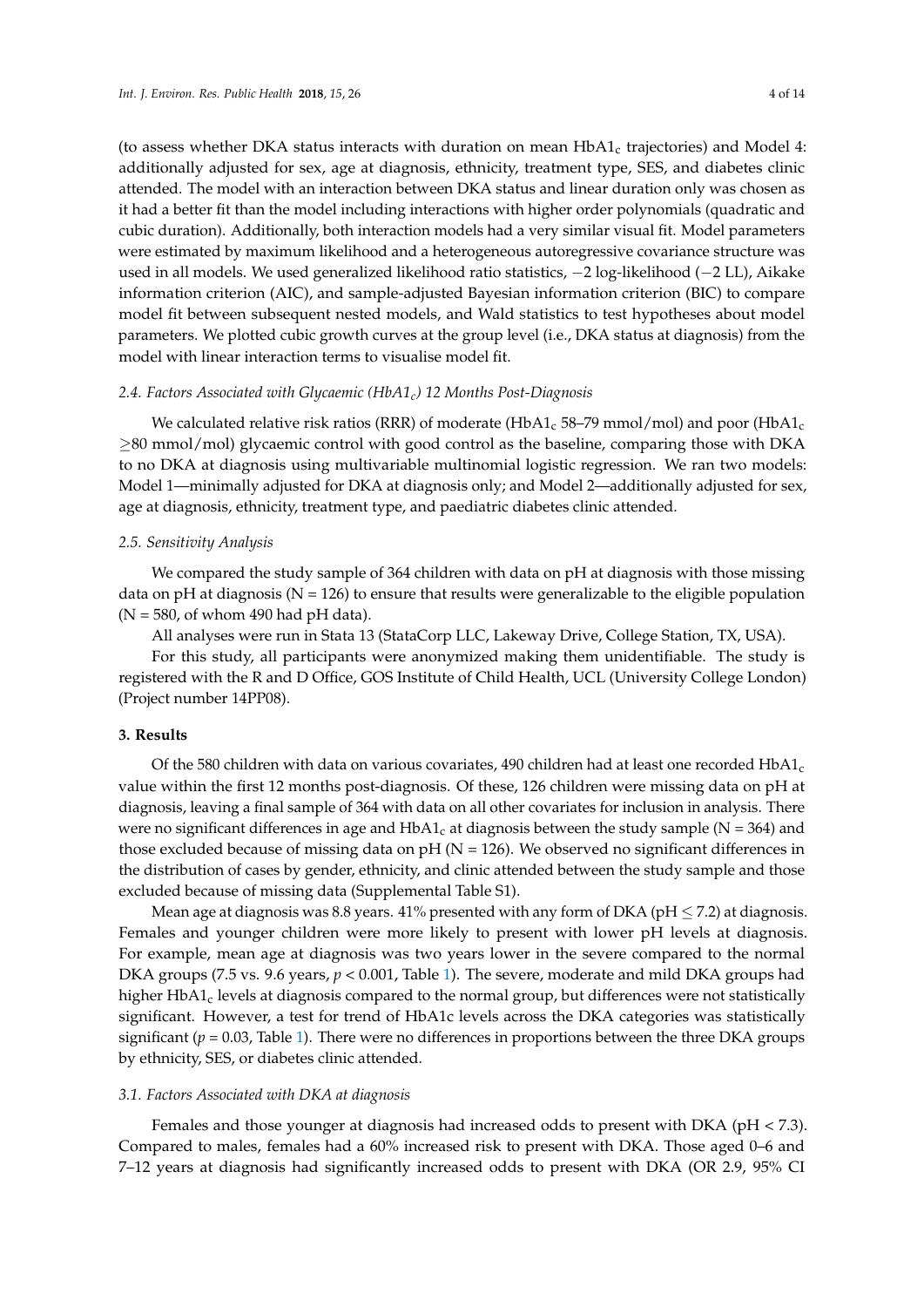attended. The model with an interaction between DKA status and linear duration only was chosen as it had a better fit than the model including interactions with higher order polynomials (quadratic and cubic duration). Additionally, both interaction models had a very similar visual fit. Model parameters were estimated by maximum likelihood and a heterogeneous autoregressive covariance structure was used in all models. We used generalized likelihood ratio statistics, −2 log-likelihood (−2 LL), Aikake information criterion (AIC), and sample-adjusted Bayesian information criterion (BIC) to compare model fit between subsequent nested models, and Wald statistics to test hypotheses about model parameters. We plotted cubic growth curves at the group level (i.e., DKA status at diagnosis) from the model with linear interaction terms to visualise model fit.

# *2.4. Factors Associated with Glycaemic (HbA1c) 12 Months Post-Diagnosis*

We calculated relative risk ratios (RRR) of moderate (HbA1<sub>c</sub> 58–79 mmol/mol) and poor (HbA1<sub>c</sub> ≥80 mmol/mol) glycaemic control with good control as the baseline, comparing those with DKA to no DKA at diagnosis using multivariable multinomial logistic regression. We ran two models: Model 1—minimally adjusted for DKA at diagnosis only; and Model 2—additionally adjusted for sex, age at diagnosis, ethnicity, treatment type, and paediatric diabetes clinic attended.

# *2.5. Sensitivity Analysis*

We compared the study sample of 364 children with data on pH at diagnosis with those missing data on pH at diagnosis ( $N = 126$ ) to ensure that results were generalizable to the eligible population  $(N = 580, \text{ of whom } 490 \text{ had pH data}).$ 

All analyses were run in Stata 13 (StataCorp LLC, Lakeway Drive, College Station, TX, USA).

For this study, all participants were anonymized making them unidentifiable. The study is registered with the R and D Office, GOS Institute of Child Health, UCL (University College London) (Project number 14PP08).

## **3. Results**

Of the 580 children with data on various covariates, 490 children had at least one recorded HbA1 $_c$ value within the first 12 months post-diagnosis. Of these, 126 children were missing data on pH at diagnosis, leaving a final sample of 364 with data on all other covariates for inclusion in analysis. There were no significant differences in age and  $HbA1_c$  at diagnosis between the study sample ( $N = 364$ ) and those excluded because of missing data on  $pH (N = 126)$ . We observed no significant differences in the distribution of cases by gender, ethnicity, and clinic attended between the study sample and those excluded because of missing data (Supplemental Table S1).

Mean age at diagnosis was 8.8 years. 41% presented with any form of DKA ( $pH \le 7.2$ ) at diagnosis. Females and younger children were more likely to present with lower pH levels at diagnosis. For example, mean age at diagnosis was two years lower in the severe compared to the normal DKA groups (7.5 vs. 9.6 years,  $p < 0.001$ , Table [1\)](#page-4-0). The severe, moderate and mild DKA groups had higher  $HbA1_c$  levels at diagnosis compared to the normal group, but differences were not statistically significant. However, a test for trend of HbA1c levels across the DKA categories was statistically significant ( $p = 0.03$ , Table [1\)](#page-4-0). There were no differences in proportions between the three DKA groups by ethnicity, SES, or diabetes clinic attended.

# *3.1. Factors Associated with DKA at diagnosis*

Females and those younger at diagnosis had increased odds to present with DKA (pH < 7.3). Compared to males, females had a 60% increased risk to present with DKA. Those aged 0–6 and 7–12 years at diagnosis had significantly increased odds to present with DKA (OR 2.9, 95% CI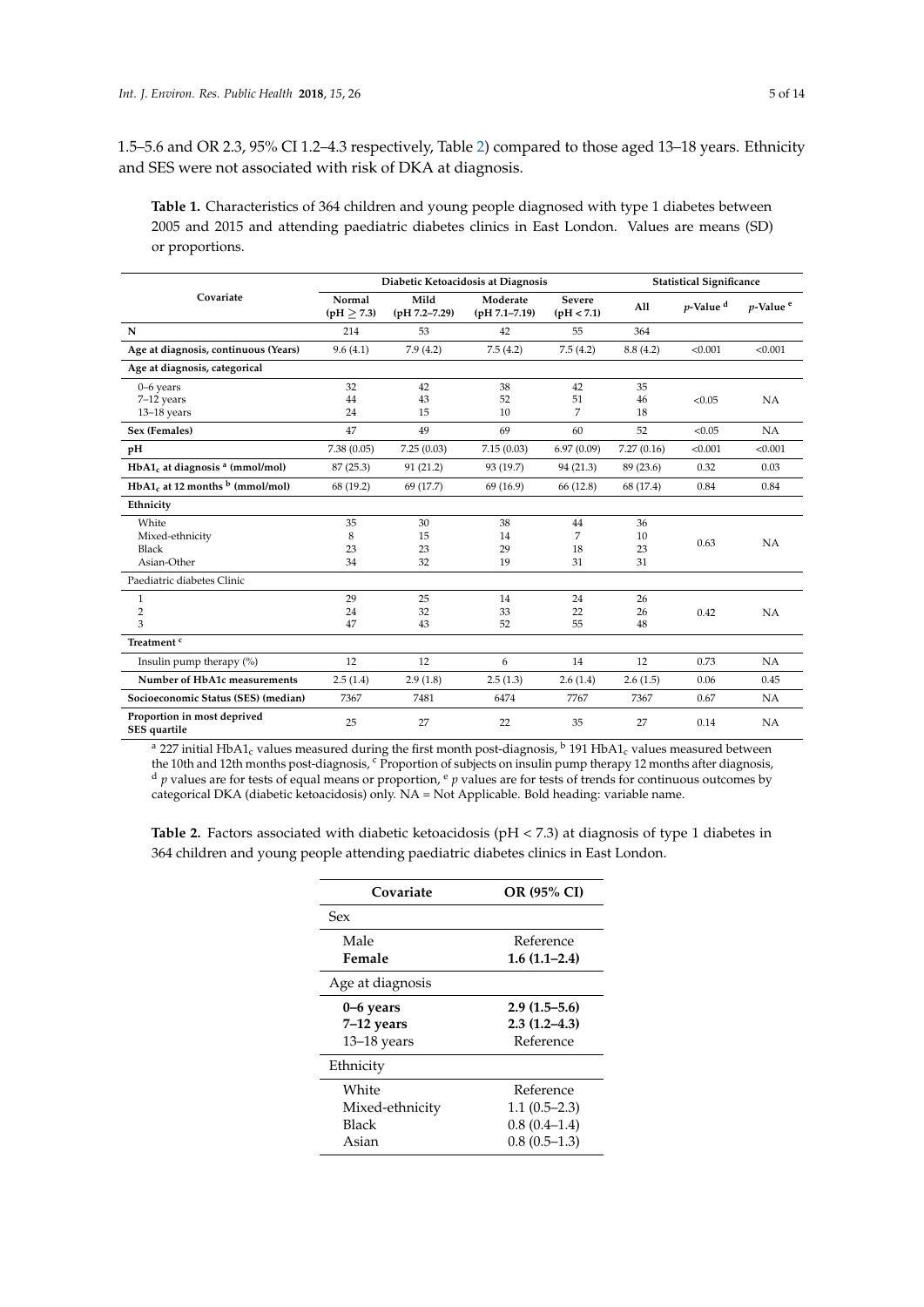1.5–5.6 and OR 2.3, 95% CI 1.2–4.3 respectively, Table [2\)](#page-5-0) compared to those aged 13–18 years. Ethnicity and SES were not associated with risk of DKA at diagnosis.

<span id="page-4-0"></span>**Table 1.** Characteristics of 364 children and young people diagnosed with type 1 diabetes between 2005 and 2015 and attending paediatric diabetes clinics in East London. Values are means (SD) or proportions.

|                                                | Diabetic Ketoacidosis at Diagnosis |                           |                               | <b>Statistical Significance</b> |            |                         |                         |
|------------------------------------------------|------------------------------------|---------------------------|-------------------------------|---------------------------------|------------|-------------------------|-------------------------|
| Covariate                                      | Normal<br>(pH > 7.3)               | Mild<br>$(pH 7.2 - 7.29)$ | Moderate<br>$(pH 7.1 - 7.19)$ | <b>Severe</b><br>(pH < 7.1)     | All        | $p$ -Value <sup>d</sup> | $p$ -Value <sup>e</sup> |
| N                                              | 214                                | 53                        | 42                            | 55                              | 364        |                         |                         |
| Age at diagnosis, continuous (Years)           | 9.6(4.1)                           | 7.9(4.2)                  | 7.5(4.2)                      | 7.5(4.2)                        | 8.8(4.2)   | < 0.001                 | < 0.001                 |
| Age at diagnosis, categorical                  |                                    |                           |                               |                                 |            |                         |                         |
| 0-6 years                                      | 32                                 | 42                        | 38                            | 42                              | 35         |                         |                         |
| 7-12 years                                     | 44                                 | 43                        | 52                            | 51                              | 46         | < 0.05                  | NA                      |
| $13-18$ years                                  | 24                                 | 15                        | 10                            | $\overline{7}$                  | 18         |                         |                         |
| Sex (Females)                                  | 47                                 | 49                        | 69                            | 60                              | 52         | < 0.05                  | NA                      |
| pH                                             | 7.38(0.05)                         | 7.25(0.03)                | 7.15(0.03)                    | 6.97(0.09)                      | 7.27(0.16) | < 0.001                 | < 0.001                 |
| $HbA1_c$ at diagnosis $a$ (mmol/mol)           | 87 (25.3)                          | 91(21.2)                  | 93 (19.7)                     | 94 (21.3)                       | 89 (23.6)  | 0.32                    | 0.03                    |
| $HbA1_c$ at 12 months $\frac{b}{c}$ (mmol/mol) | 68 (19.2)                          | 69 (17.7)                 | 69 (16.9)                     | 66 (12.8)                       | 68 (17.4)  | 0.84                    | 0.84                    |
| Ethnicity                                      |                                    |                           |                               |                                 |            |                         |                         |
| White                                          | 35                                 | 30                        | 38                            | 44                              | 36         |                         |                         |
| Mixed-ethnicity                                | 8                                  | 15                        | 14                            | 7                               | 10         | 0.63                    | NA                      |
| <b>Black</b>                                   | 23                                 | 23                        | 29                            | 18                              | 23         |                         |                         |
| Asian-Other                                    | 34                                 | 32                        | 19                            | 31                              | 31         |                         |                         |
| Paediatric diabetes Clinic                     |                                    |                           |                               |                                 |            |                         |                         |
| $\mathbf{1}$                                   | 29                                 | 25                        | 14                            | 24                              | 26         |                         |                         |
| $\overline{2}$                                 | 24                                 | 32                        | 33                            | 22                              | 26         | 0.42                    | NA                      |
| 3                                              | 47                                 | 43                        | 52                            | 55                              | 48         |                         |                         |
| Treatment <sup>c</sup>                         |                                    |                           |                               |                                 |            |                         |                         |
| Insulin pump therapy $(\%)$                    | 12                                 | 12                        | 6                             | 14                              | 12         | 0.73                    | NA                      |
| Number of HbA1c measurements                   | 2.5(1.4)                           | 2.9(1.8)                  | 2.5(1.3)                      | 2.6(1.4)                        | 2.6(1.5)   | 0.06                    | 0.45                    |
| Socioeconomic Status (SES) (median)            | 7367                               | 7481                      | 6474                          | 7767                            | 7367       | 0.67                    | NA                      |
| Proportion in most deprived<br>SES quartile    | 25                                 | 27                        | 22                            | 35                              | 27         | 0.14                    | NA                      |

<sup>a</sup> 227 initial HbA1<sub>c</sub> values measured during the first month post-diagnosis,  $\frac{b}{2}$  191 HbA1<sub>c</sub> values measured between the 10th and 12th months post-diagnosis, <sup>c</sup> Proportion of subjects on insulin pump therapy 12 months after diagnosis, d *p* values are for tests of equal means or proportion,  $e$  *p* values are for tests of trends for continuous outcomes by categorical DKA (diabetic ketoacidosis) only. NA = Not Applicable. Bold heading: variable name.

**Table 2.** Factors associated with diabetic ketoacidosis (pH < 7.3) at diagnosis of type 1 diabetes in 364 children and young people attending paediatric diabetes clinics in East London.

| Covariate        | OR (95% CI)      |
|------------------|------------------|
| Sex              |                  |
| Male             | Reference        |
| Female           | $1.6(1.1-2.4)$   |
| Age at diagnosis |                  |
| 0–6 years        | $2.9(1.5-5.6)$   |
| $7-12$ years     | $2.3(1.2 - 4.3)$ |
| $13-18$ years    | Reference        |
| Ethnicity        |                  |
| White            | Reference        |
| Mixed-ethnicity  | $1.1(0.5-2.3)$   |
| Black            | $0.8(0.4-1.4)$   |
| Asian            | $0.8(0.5-1.3)$   |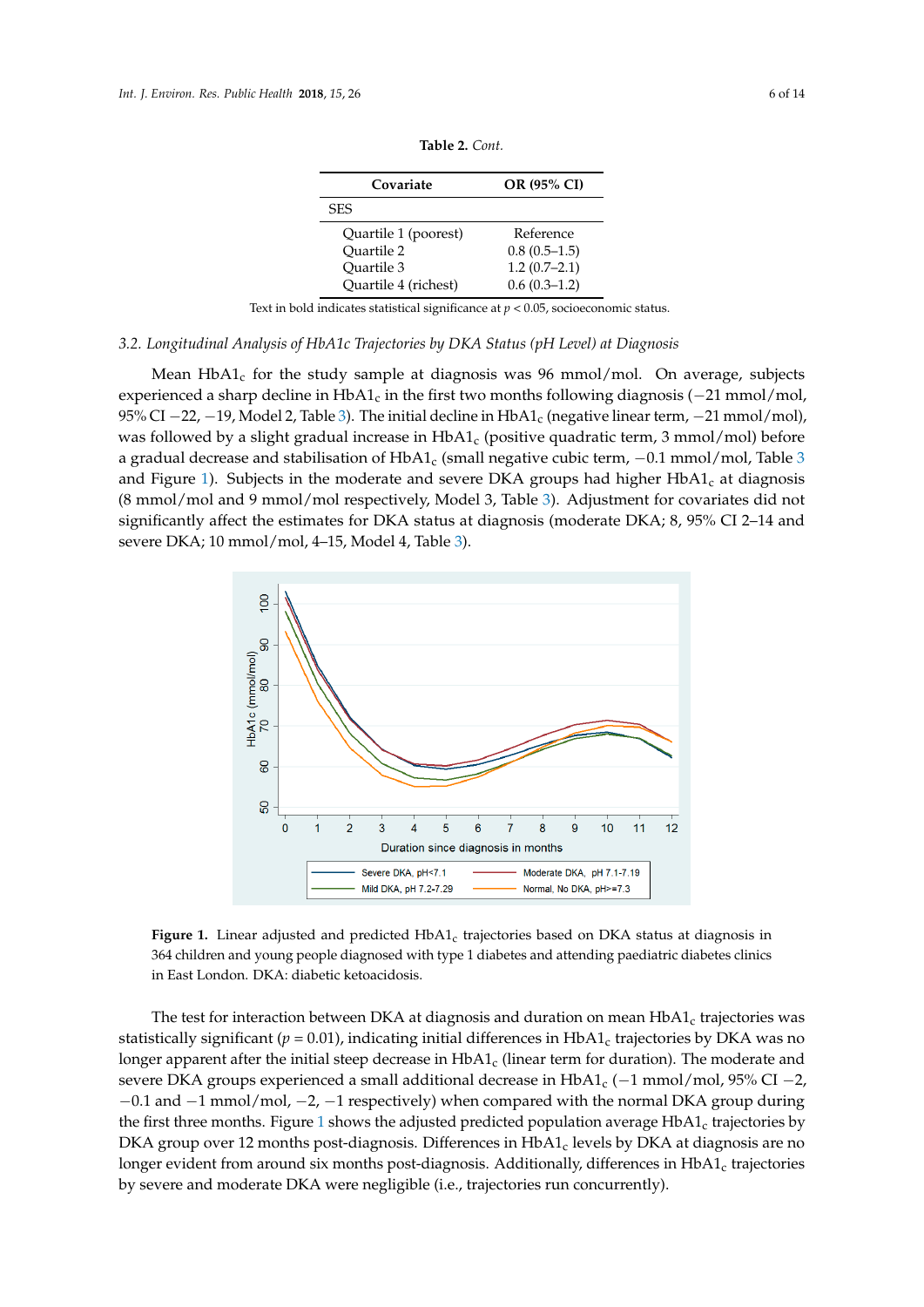<span id="page-5-0"></span>

| Covariate            | OR (95% CI)    |  |
|----------------------|----------------|--|
| <b>SES</b>           |                |  |
| Quartile 1 (poorest) | Reference      |  |
| Ouartile 2           | $0.8(0.5-1.5)$ |  |
| Ouartile 3           | $1.2(0.7-2.1)$ |  |
| Quartile 4 (richest) | $0.6(0.3-1.2)$ |  |

**Table 2.** *Cont.* 

Text in bold indicates statistical significance at *p* < 0.05, socioeconomic status. Text in bold indicates statistical significance at *p* < 0.05, socioeconomic status.

# 3.2. Longitudinal Analysis of HbA1c Trajectories by DKA Status (pH Level) at Diagnosis

Mean  $HbA1_c$  for the study sample at diagnosis was 96 mmol/mol. On average, subjects experienced a sharp decline in HbA1<sub>c</sub> in the first two months following diagnosis ( $-21$  mmol/mol, 95% CI  $-22$ ,  $-19$ , Model 2, Table [3\)](#page-7-0). The initial decline in HbA1<sub>c</sub> (negative linear term,  $-21$  mmol/mol), was followed by a slight gradual increase in HbA1<sub>c</sub> (positive quadratic term, 3 mmol/mol) before a gra[d](#page-7-0)ual decrease and stabilisation of  $HbA1_c$  (small negative cubic term,  $-0.1$  mmol/mol, Table 3 and Figure 1). [Su](#page-5-1)bjects in the moderate and severe DKA groups had higher  $HbA1_c$  at diagnosis (8 mmol/mol and 9 mmol/mol respectively, Model 3, Table [3\)](#page-7-0). Adjustment for covariates did not (8 mmol/mol and 9 mmol/mol respectively, Model 3, Table 3). Adjustment for covariates did not significantly affect the estimates for DKA status at diagnosis (moderate DKA; 8, 95% CI 2–14 and significantly affect the estimates for DKA status at diagnosis (moderate DKA; 8, 95% CI 2–14 and severe DKA; 10 mmol/mol, 4–15, Model 4, Table 3). severe DKA; 10 mmol/mol, 4–15, Model 4, Table [3\)](#page-7-0)

<span id="page-5-1"></span>

Figure 1. Linear adjusted and predicted HbA1<sub>c</sub> trajectories based on DKA status at diagnosis in children and young people diagnosed with type 1 diabetes and attending paediatric diabetes clinics 364 children and young people diagnosed with type 1 diabetes and attending paediatric diabetes clinics in East London. DKA: diabetic ketoacidosis. in East London. DKA: diabetic ketoacidosis.

The test for interaction between DKA at diagnosis and duration on mean HbA1c trajectories was The test for interaction between DKA at diagnosis and duration on mean HbA1<sub>c</sub> trajectories was not interaction between DKA at diagnosis and duration on mean HbA1<sub>c</sub> trajectories was statistically significant (*p* = 0.01), indicating initial differences in HbA1<sub>c</sub> trajectories by DKA was no longer apparent after the initial steep decrease in HbA1<sub>c</sub> (linear term for duration). The moderate and<br>**DISA, FRA1c (1, 05% CI +2, 05% CI** +2, 05% CI +2, 05% CI +2, 05% CI +2, 05% CI +2, 05% CI +2, 05% CI +2, 05% CI +2 severe DKA groups experienced a small additional decrease in  $HbA1_c$  (−1 mmol/mol, 95% CI −2, −0.1 and −1 mmol/mol, −2, −1 respectively) when compared with the normal DKA group during<br>definition and DKA group during the first three months. Figure [1](#page-5-1) shows the adjusted predicted population average HbA1<sub>c</sub> trajectories by  $\overline{D}$  $\rm{DKA}$  group over 12 months post-diagnosis. Differences in HbA1<sub>c</sub> levels by DKA at diagnosis are no longer evident from around six months post-diagnosis. Additionally, differences in HbA1<sub>c</sub> trajectories<br>' by severe and moderate DKA were negligible (i.e., trajectories run concurrently).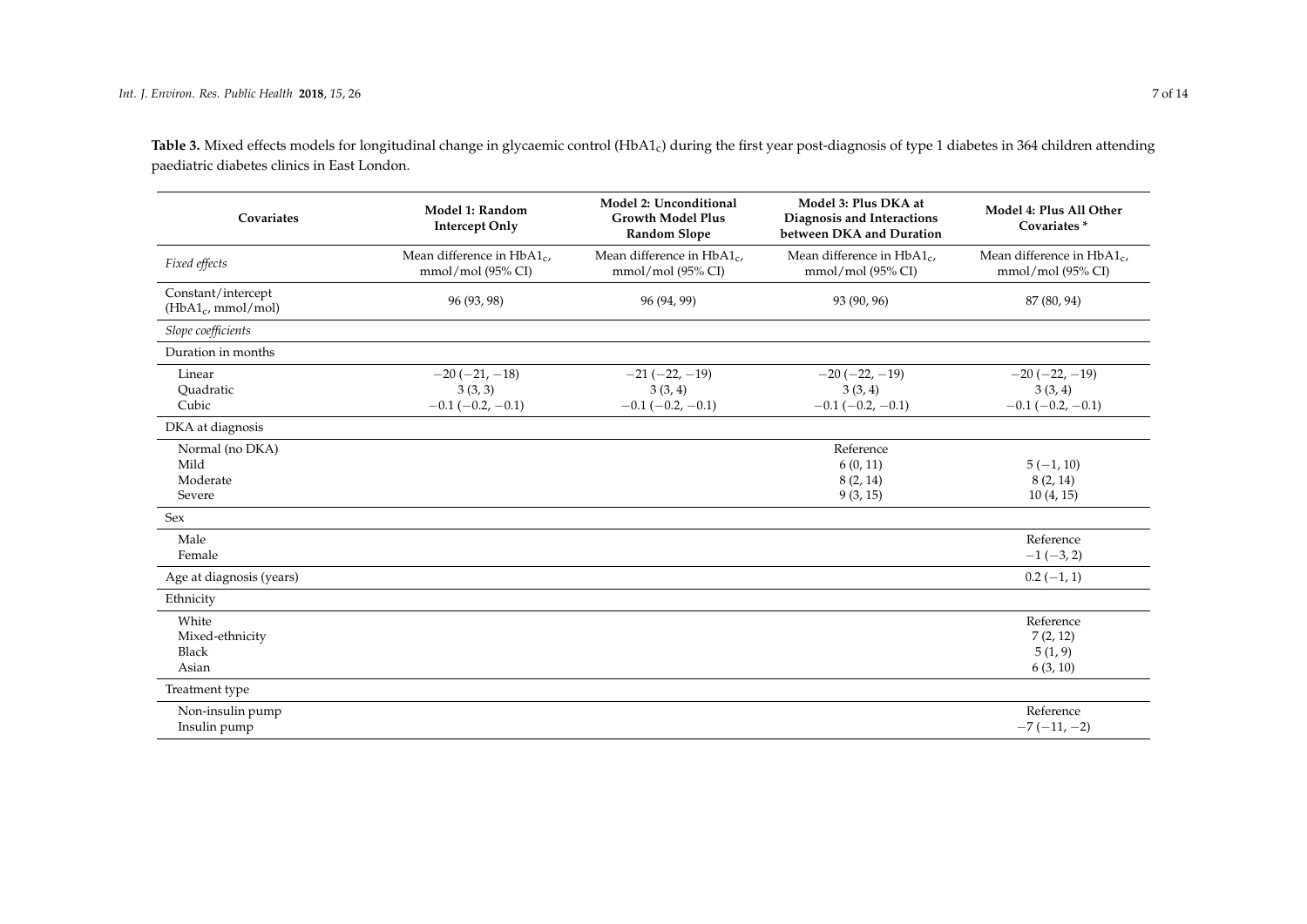Table 3. Mixed effects models for longitudinal change in glycaemic control (HbA1<sub>c</sub>) during the first year post-diagnosis of type 1 diabetes in 364 children attending paediatric diabetes clinics in East London.

| Covariates                                    | Model 1: Random<br><b>Intercept Only</b>                      | Model 2: Unconditional<br><b>Growth Model Plus</b><br><b>Random Slope</b> | Model 3: Plus DKA at<br>Diagnosis and Interactions<br>between DKA and Duration | Model 4: Plus All Other<br>Covariates*                   |
|-----------------------------------------------|---------------------------------------------------------------|---------------------------------------------------------------------------|--------------------------------------------------------------------------------|----------------------------------------------------------|
| Fixed effects                                 | Mean difference in HbA1 <sub>c</sub> ,<br>$mmol/mol$ (95% CI) | Mean difference in $HbA1_c$ ,<br>$mmol/mol$ (95% CI)                      | Mean difference in $HbA1_c$ ,<br>$mmol/mol$ (95% CI)                           | Mean difference in $HbA1_c$ ,<br>$mmol/mol$ (95% CI)     |
| Constant/intercept<br>$(HbA1_c, mmol/mol)$    | 96 (93, 98)                                                   | 96 (94, 99)                                                               | 93 (90, 96)                                                                    | 87 (80, 94)                                              |
| Slope coefficients                            |                                                               |                                                                           |                                                                                |                                                          |
| Duration in months                            |                                                               |                                                                           |                                                                                |                                                          |
| Linear<br>Ouadratic<br>Cubic                  | $-20(-21,-18)$<br>3(3,3)<br>$-0.1$ ( $-0.2$ , $-0.1$ )        | $-21(-22, -19)$<br>3(3, 4)<br>$-0.1$ ( $-0.2$ , $-0.1$ )                  | $-20(-22,-19)$<br>3(3, 4)<br>$-0.1$ ( $-0.2$ , $-0.1$ )                        | $-20(-22, -19)$<br>3(3, 4)<br>$-0.1$ ( $-0.2$ , $-0.1$ ) |
| DKA at diagnosis                              |                                                               |                                                                           |                                                                                |                                                          |
| Normal (no DKA)<br>Mild<br>Moderate<br>Severe |                                                               |                                                                           | Reference<br>6(0, 11)<br>8(2, 14)<br>9(3, 15)                                  | $5(-1, 10)$<br>8(2, 14)<br>10(4, 15)                     |
| Sex                                           |                                                               |                                                                           |                                                                                |                                                          |
| Male<br>Female                                |                                                               |                                                                           |                                                                                | Reference<br>$-1(-3, 2)$                                 |
| Age at diagnosis (years)                      |                                                               |                                                                           |                                                                                | $0.2(-1, 1)$                                             |
| Ethnicity                                     |                                                               |                                                                           |                                                                                |                                                          |
| White<br>Mixed-ethnicity<br>Black<br>Asian    |                                                               |                                                                           |                                                                                | Reference<br>7(2, 12)<br>5(1, 9)<br>6(3, 10)             |
| Treatment type                                |                                                               |                                                                           |                                                                                |                                                          |
| Non-insulin pump<br>Insulin pump              |                                                               |                                                                           |                                                                                | Reference<br>$-7(-11,-2)$                                |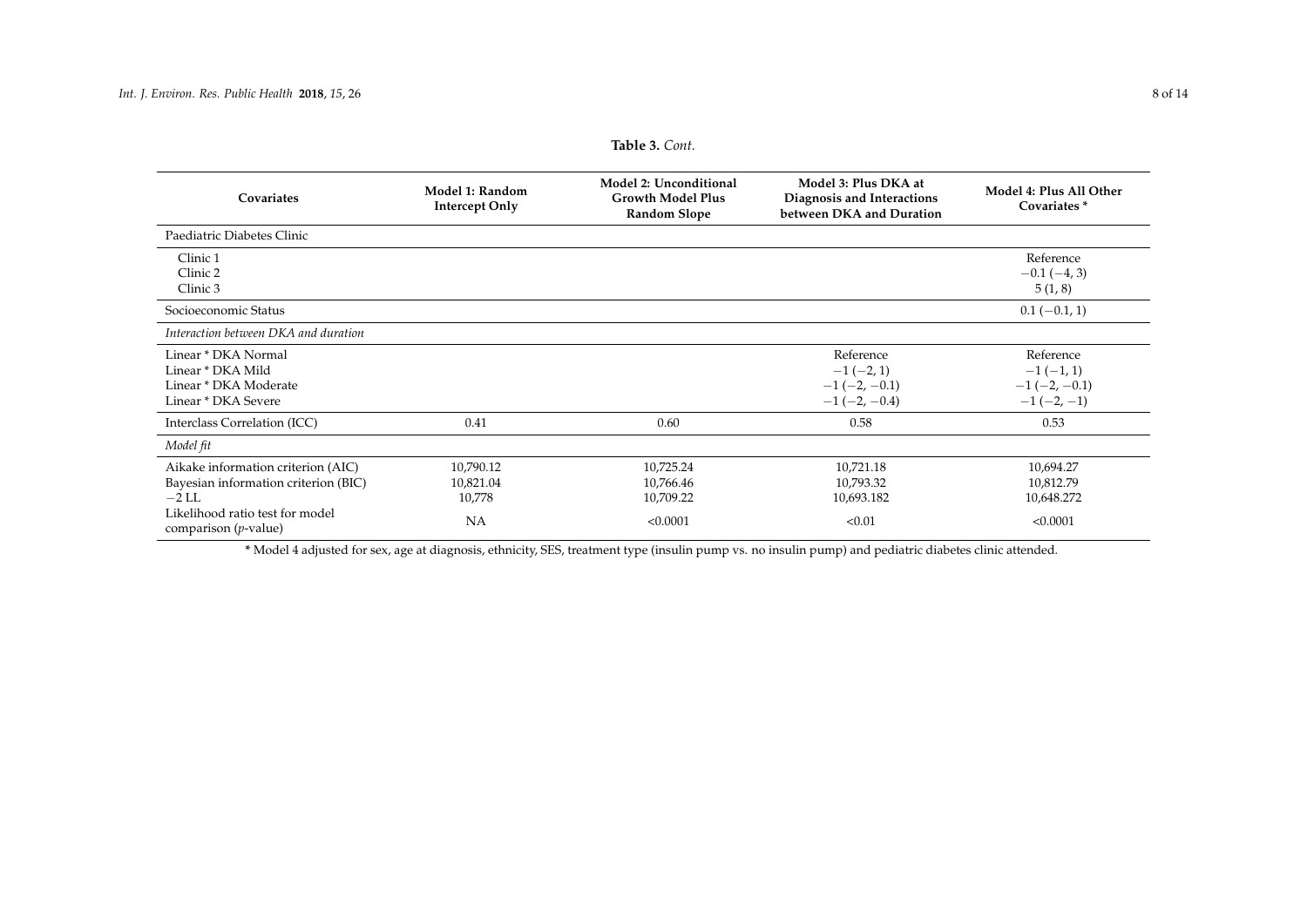| Covariates                                                 | Model 1: Random<br><b>Intercept Only</b> | Model 2: Unconditional<br><b>Growth Model Plus</b><br><b>Random Slope</b> | Model 3: Plus DKA at<br>Diagnosis and Interactions<br>between DKA and Duration | Model 4: Plus All Other<br>Covariates* |
|------------------------------------------------------------|------------------------------------------|---------------------------------------------------------------------------|--------------------------------------------------------------------------------|----------------------------------------|
| Paediatric Diabetes Clinic                                 |                                          |                                                                           |                                                                                |                                        |
| Clinic 1                                                   |                                          |                                                                           |                                                                                | Reference                              |
| Clinic 2                                                   |                                          |                                                                           |                                                                                | $-0.1(-4, 3)$                          |
| Clinic 3                                                   |                                          |                                                                           |                                                                                | 5(1, 8)                                |
| Socioeconomic Status                                       |                                          |                                                                           |                                                                                | $0.1(-0.1, 1)$                         |
| Interaction between DKA and duration                       |                                          |                                                                           |                                                                                |                                        |
| Linear * DKA Normal                                        |                                          |                                                                           | Reference                                                                      | Reference                              |
| Linear * DKA Mild                                          |                                          |                                                                           | $-1(-2,1)$                                                                     | $-1(-1,1)$                             |
| Linear * DKA Moderate                                      |                                          |                                                                           | $-1$ (-2, -0.1)                                                                | $-1$ (-2, -0.1)                        |
| Linear * DKA Severe                                        |                                          |                                                                           | $-1(-2, -0.4)$                                                                 | $-1(-2,-1)$                            |
| Interclass Correlation (ICC)                               | 0.41                                     | 0.60                                                                      | 0.58                                                                           | 0.53                                   |
| Model fit                                                  |                                          |                                                                           |                                                                                |                                        |
| Aikake information criterion (AIC)                         | 10,790.12                                | 10,725.24                                                                 | 10,721.18                                                                      | 10,694.27                              |
| Bayesian information criterion (BIC)                       | 10,821.04                                | 10,766.46                                                                 | 10,793.32                                                                      | 10,812.79                              |
| $-2$ LL                                                    | 10,778                                   | 10,709.22                                                                 | 10,693.182                                                                     | 10,648.272                             |
| Likelihood ratio test for model<br>comparison $(p$ -value) | NA                                       | < 0.0001                                                                  | < 0.01                                                                         | < 0.0001                               |

<span id="page-7-0"></span>**\*** Model 4 adjusted for sex, age at diagnosis, ethnicity, SES, treatment type (insulin pump vs. no insulin pump) and pediatric diabetes clinic attended.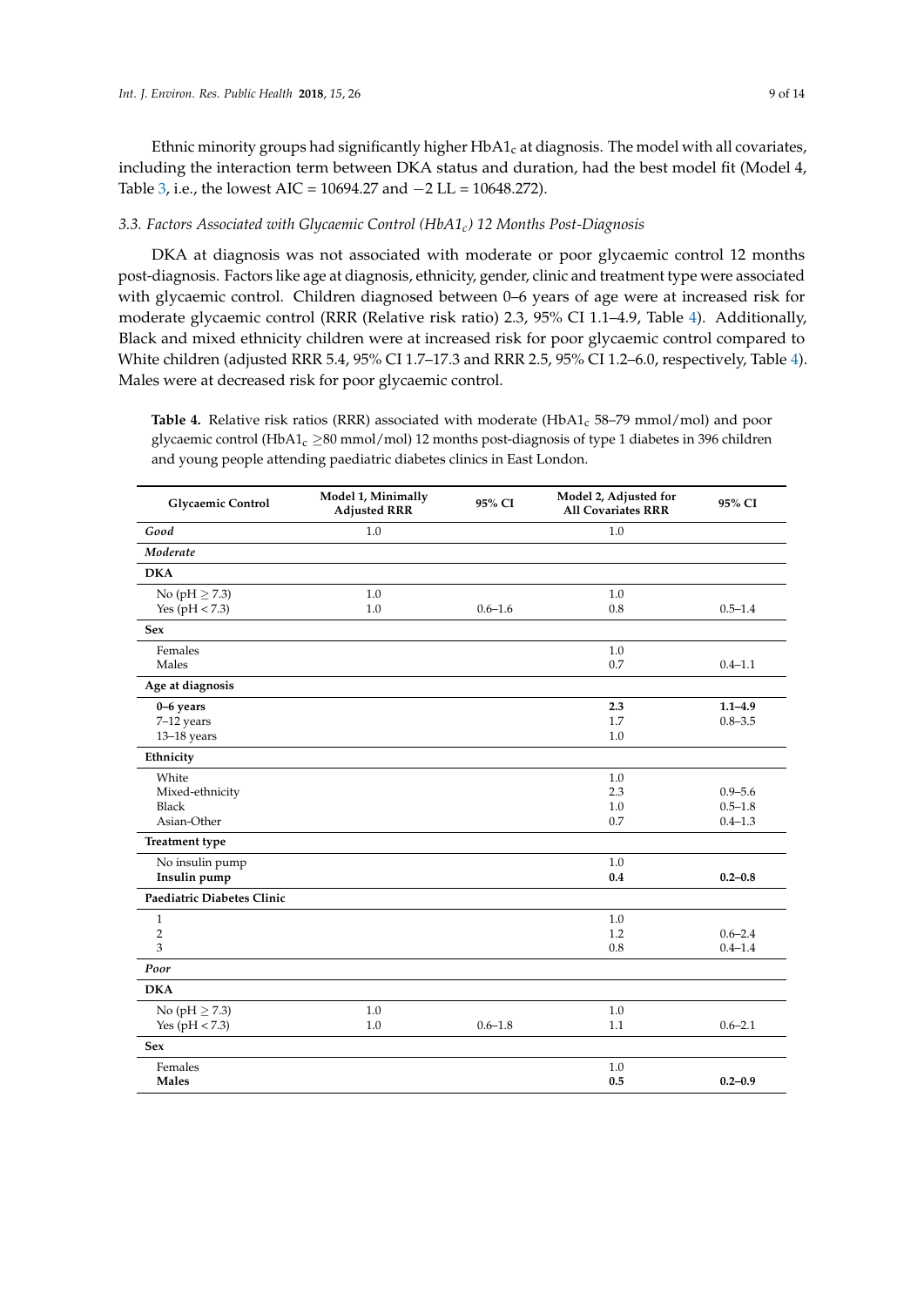Ethnic minority groups had significantly higher  $HbA1_c$  at diagnosis. The model with all covariates, including the interaction term between DKA status and duration, had the best model fit (Model 4, Table [3,](#page-7-0) i.e., the lowest AIC = 10694.27 and −2 LL = 10648.272).

# *3.3. Factors Associated with Glycaemic Control (HbA1c) 12 Months Post-Diagnosis*

DKA at diagnosis was not associated with moderate or poor glycaemic control 12 months post-diagnosis. Factors like age at diagnosis, ethnicity, gender, clinic and treatment type were associated with glycaemic control. Children diagnosed between 0–6 years of age were at increased risk for moderate glycaemic control (RRR (Relative risk ratio) 2.3, 95% CI 1.1–4.9, Table [4\)](#page-9-0). Additionally, Black and mixed ethnicity children were at increased risk for poor glycaemic control compared to White children (adjusted RRR 5.4, 95% CI 1.7–17.3 and RRR 2.5, 95% CI 1.2–6.0, respectively, Table [4\)](#page-9-0). Males were at decreased risk for poor glycaemic control.

Table 4. Relative risk ratios (RRR) associated with moderate (HbA1<sub>c</sub> 58–79 mmol/mol) and poor glycaemic control (HbA1<sub>c</sub>  $\geq$ 80 mmol/mol) 12 months post-diagnosis of type 1 diabetes in 396 children and young people attending paediatric diabetes clinics in East London.

| Glycaemic Control          | Model 1, Minimally<br><b>Adjusted RRR</b> | 95% CI      | Model 2, Adjusted for<br><b>All Covariates RRR</b> | 95% CI      |
|----------------------------|-------------------------------------------|-------------|----------------------------------------------------|-------------|
| Good                       | 1.0                                       |             | 1.0                                                |             |
| Moderate                   |                                           |             |                                                    |             |
| <b>DKA</b>                 |                                           |             |                                                    |             |
| No (pH $\geq$ 7.3)         | 1.0                                       |             | 1.0                                                |             |
| Yes ( $pH < 7.3$ )         | 1.0                                       | $0.6 - 1.6$ | 0.8                                                | $0.5 - 1.4$ |
| <b>Sex</b>                 |                                           |             |                                                    |             |
| Females                    |                                           |             | 1.0                                                |             |
| Males                      |                                           |             | 0.7                                                | $0.4 - 1.1$ |
| Age at diagnosis           |                                           |             |                                                    |             |
| 0-6 years                  |                                           |             | 2.3                                                | $1.1 - 4.9$ |
| 7-12 years                 |                                           |             | 1.7                                                | $0.8 - 3.5$ |
| $13-18$ years              |                                           |             | 1.0                                                |             |
| Ethnicity                  |                                           |             |                                                    |             |
| White                      |                                           |             | 1.0                                                |             |
| Mixed-ethnicity            |                                           |             | 2.3                                                | $0.9 - 5.6$ |
| Black                      |                                           |             | 1.0                                                | $0.5 - 1.8$ |
| Asian-Other                |                                           |             | 0.7                                                | $0.4 - 1.3$ |
| <b>Treatment type</b>      |                                           |             |                                                    |             |
| No insulin pump            |                                           |             | 1.0                                                |             |
| Insulin pump               |                                           |             | 0.4                                                | $0.2 - 0.8$ |
| Paediatric Diabetes Clinic |                                           |             |                                                    |             |
| $\mathbf{1}$               |                                           |             | 1.0                                                |             |
| $\overline{2}$             |                                           |             | 1.2                                                | $0.6 - 2.4$ |
| 3                          |                                           |             | 0.8                                                | $0.4 - 1.4$ |
| Poor                       |                                           |             |                                                    |             |
| <b>DKA</b>                 |                                           |             |                                                    |             |
| No (pH $\geq$ 7.3)         | 1.0                                       |             | 1.0                                                |             |
| Yes ( $pH < 7.3$ )         | 1.0                                       | $0.6 - 1.8$ | 1.1                                                | $0.6 - 2.1$ |
| <b>Sex</b>                 |                                           |             |                                                    |             |
| Females                    |                                           |             | 1.0                                                |             |
| <b>Males</b>               |                                           |             | 0.5                                                | $0.2 - 0.9$ |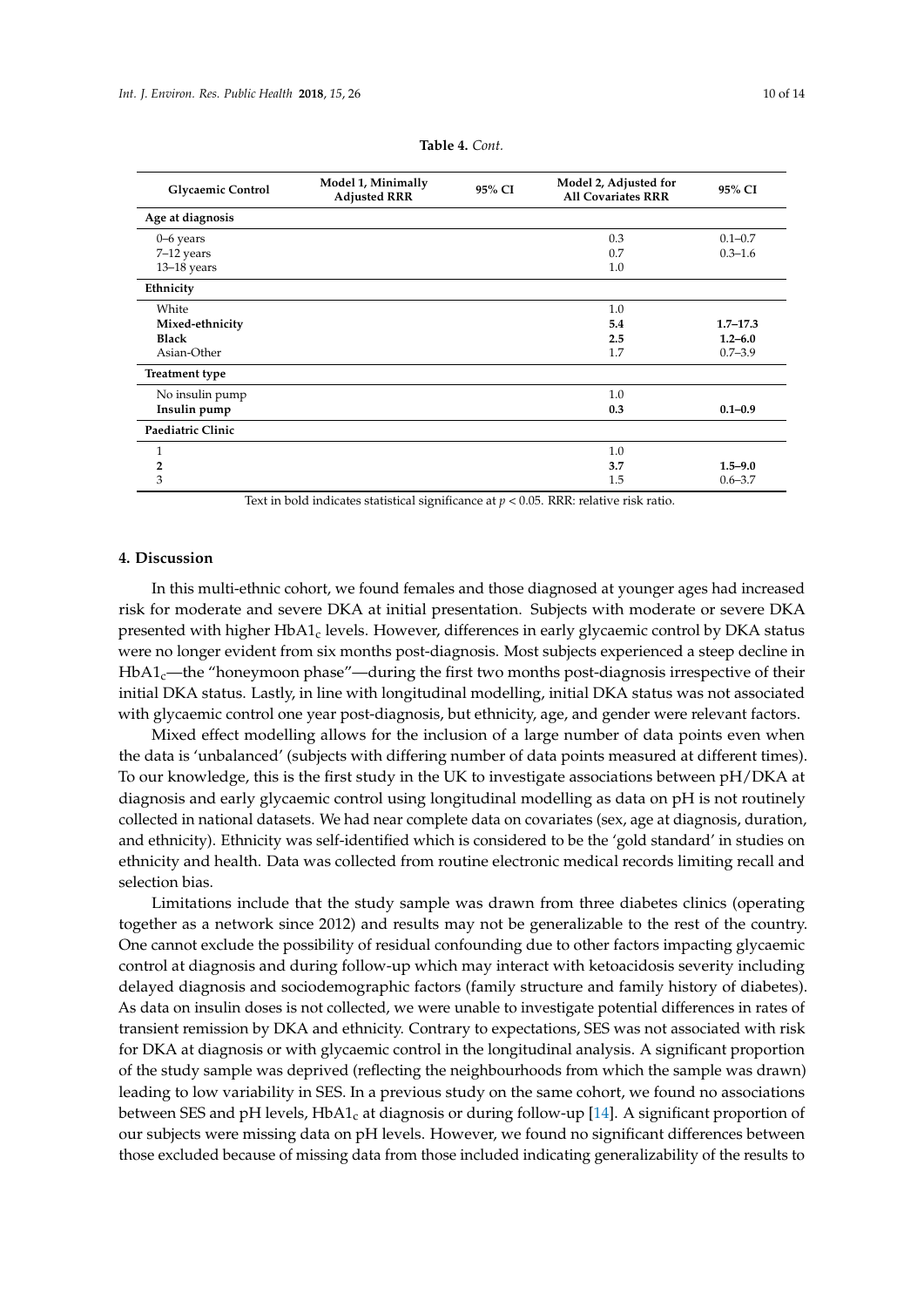<span id="page-9-0"></span>

| <b>Glycaemic Control</b> | Model 1, Minimally<br><b>Adjusted RRR</b> | 95% CI | Model 2, Adjusted for<br><b>All Covariates RRR</b> | 95% CI       |
|--------------------------|-------------------------------------------|--------|----------------------------------------------------|--------------|
| Age at diagnosis         |                                           |        |                                                    |              |
| 0–6 years                |                                           |        | 0.3                                                | $0.1 - 0.7$  |
| 7-12 years               |                                           |        | 0.7                                                | $0.3 - 1.6$  |
| $13-18$ years            |                                           |        | 1.0                                                |              |
| Ethnicity                |                                           |        |                                                    |              |
| White                    |                                           |        | 1.0                                                |              |
| Mixed-ethnicity          |                                           |        | 5.4                                                | $1.7 - 17.3$ |
| <b>Black</b>             |                                           |        | 2.5                                                | $1.2 - 6.0$  |
| Asian-Other              |                                           |        | 1.7                                                | $0.7 - 3.9$  |
| <b>Treatment type</b>    |                                           |        |                                                    |              |
| No insulin pump          |                                           |        | 1.0                                                |              |
| Insulin pump             |                                           |        | 0.3                                                | $0.1 - 0.9$  |
| Paediatric Clinic        |                                           |        |                                                    |              |

| Table 4. Cont. |  |
|----------------|--|
|----------------|--|

3 1.5 0.6–3.7 Text in bold indicates statistical significance at  $p < 0.05$ . RRR: relative risk ratio.

**2 3.7 1.5–9.0**

 $1.0$ 

#### **4. Discussion**

In this multi-ethnic cohort, we found females and those diagnosed at younger ages had increased risk for moderate and severe DKA at initial presentation. Subjects with moderate or severe DKA presented with higher  $HbA1_c$  levels. However, differences in early glycaemic control by DKA status were no longer evident from six months post-diagnosis. Most subjects experienced a steep decline in  $HbA1<sub>c</sub>$ —the "honeymoon phase"—during the first two months post-diagnosis irrespective of their initial DKA status. Lastly, in line with longitudinal modelling, initial DKA status was not associated with glycaemic control one year post-diagnosis, but ethnicity, age, and gender were relevant factors.

Mixed effect modelling allows for the inclusion of a large number of data points even when the data is 'unbalanced' (subjects with differing number of data points measured at different times). To our knowledge, this is the first study in the UK to investigate associations between pH/DKA at diagnosis and early glycaemic control using longitudinal modelling as data on pH is not routinely collected in national datasets. We had near complete data on covariates (sex, age at diagnosis, duration, and ethnicity). Ethnicity was self-identified which is considered to be the 'gold standard' in studies on ethnicity and health. Data was collected from routine electronic medical records limiting recall and selection bias.

Limitations include that the study sample was drawn from three diabetes clinics (operating together as a network since 2012) and results may not be generalizable to the rest of the country. One cannot exclude the possibility of residual confounding due to other factors impacting glycaemic control at diagnosis and during follow-up which may interact with ketoacidosis severity including delayed diagnosis and sociodemographic factors (family structure and family history of diabetes). As data on insulin doses is not collected, we were unable to investigate potential differences in rates of transient remission by DKA and ethnicity. Contrary to expectations, SES was not associated with risk for DKA at diagnosis or with glycaemic control in the longitudinal analysis. A significant proportion of the study sample was deprived (reflecting the neighbourhoods from which the sample was drawn) leading to low variability in SES. In a previous study on the same cohort, we found no associations between SES and pH levels,  $HbA1_c$  at diagnosis or during follow-up [\[14\]](#page-12-6). A significant proportion of our subjects were missing data on pH levels. However, we found no significant differences between those excluded because of missing data from those included indicating generalizability of the results to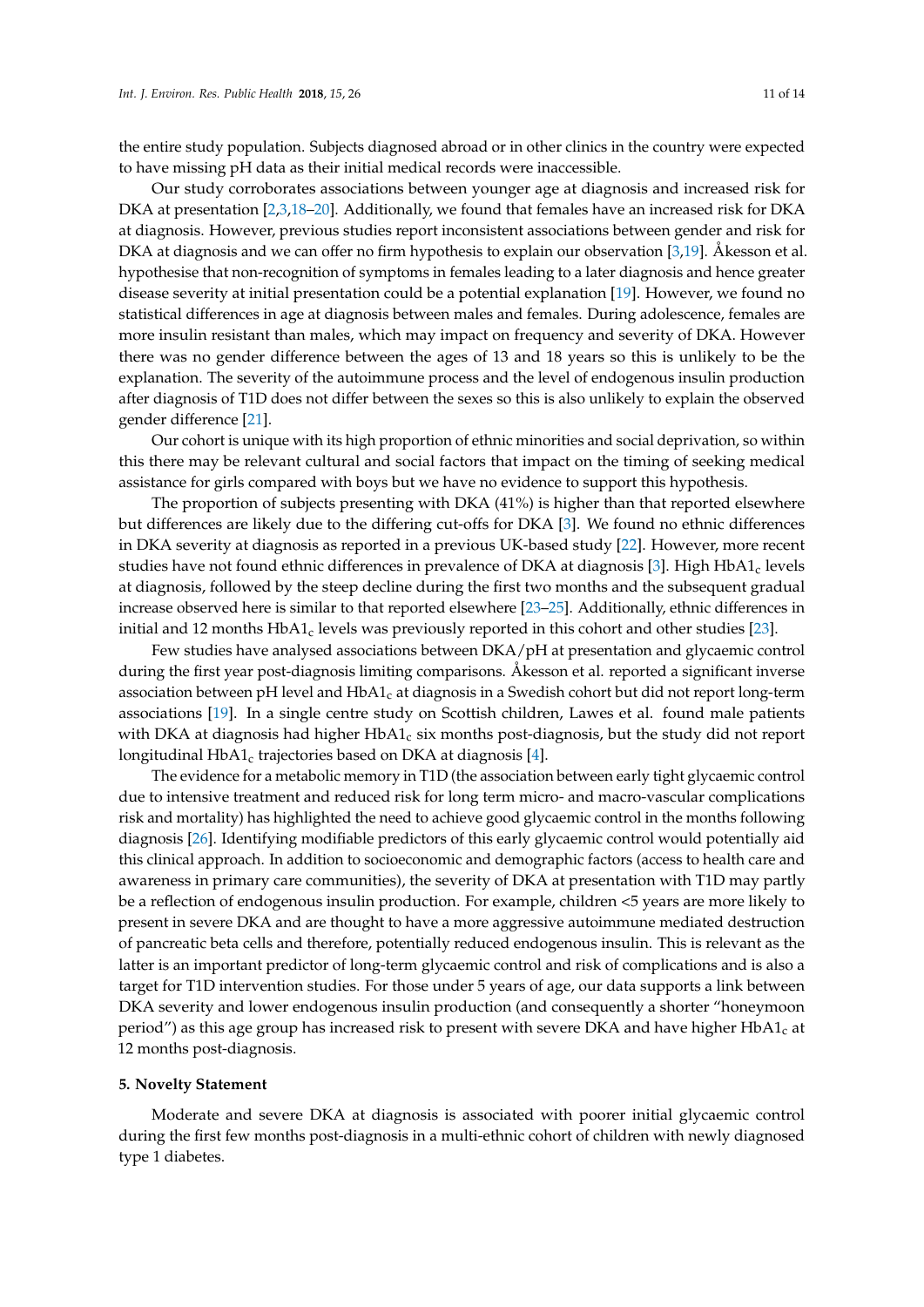the entire study population. Subjects diagnosed abroad or in other clinics in the country were expected to have missing pH data as their initial medical records were inaccessible.

Our study corroborates associations between younger age at diagnosis and increased risk for DKA at presentation [\[2,](#page-11-1)[3,](#page-12-0)[18–](#page-12-10)[20\]](#page-13-0). Additionally, we found that females have an increased risk for DKA at diagnosis. However, previous studies report inconsistent associations between gender and risk for DKA at diagnosis and we can offer no firm hypothesis to explain our observation [\[3,](#page-12-0)[19\]](#page-12-11). Åkesson et al. hypothesise that non-recognition of symptoms in females leading to a later diagnosis and hence greater disease severity at initial presentation could be a potential explanation [\[19\]](#page-12-11). However, we found no statistical differences in age at diagnosis between males and females. During adolescence, females are more insulin resistant than males, which may impact on frequency and severity of DKA. However there was no gender difference between the ages of 13 and 18 years so this is unlikely to be the explanation. The severity of the autoimmune process and the level of endogenous insulin production after diagnosis of T1D does not differ between the sexes so this is also unlikely to explain the observed gender difference [\[21\]](#page-13-1).

Our cohort is unique with its high proportion of ethnic minorities and social deprivation, so within this there may be relevant cultural and social factors that impact on the timing of seeking medical assistance for girls compared with boys but we have no evidence to support this hypothesis.

The proportion of subjects presenting with DKA (41%) is higher than that reported elsewhere but differences are likely due to the differing cut-offs for DKA [\[3\]](#page-12-0). We found no ethnic differences in DKA severity at diagnosis as reported in a previous UK-based study [\[22\]](#page-13-2). However, more recent studies have not found ethnic differences in prevalence of DKA at diagnosis [\[3\]](#page-12-0). High HbA1<sub>c</sub> levels at diagnosis, followed by the steep decline during the first two months and the subsequent gradual increase observed here is similar to that reported elsewhere [\[23–](#page-13-3)[25\]](#page-13-4). Additionally, ethnic differences in initial and 12 months  $HbA1_c$  levels was previously reported in this cohort and other studies [\[23\]](#page-13-3).

Few studies have analysed associations between DKA/pH at presentation and glycaemic control during the first year post-diagnosis limiting comparisons. Åkesson et al. reported a significant inverse association between pH level and  $HbA1_c$  at diagnosis in a Swedish cohort but did not report long-term associations [\[19\]](#page-12-11). In a single centre study on Scottish children, Lawes et al. found male patients with DKA at diagnosis had higher  $HbA1<sub>c</sub>$  six months post-diagnosis, but the study did not report longitudinal HbA1<sub>c</sub> trajectories based on DKA at diagnosis [\[4\]](#page-12-1).

The evidence for a metabolic memory in T1D (the association between early tight glycaemic control due to intensive treatment and reduced risk for long term micro- and macro-vascular complications risk and mortality) has highlighted the need to achieve good glycaemic control in the months following diagnosis [\[26\]](#page-13-5). Identifying modifiable predictors of this early glycaemic control would potentially aid this clinical approach. In addition to socioeconomic and demographic factors (access to health care and awareness in primary care communities), the severity of DKA at presentation with T1D may partly be a reflection of endogenous insulin production. For example, children <5 years are more likely to present in severe DKA and are thought to have a more aggressive autoimmune mediated destruction of pancreatic beta cells and therefore, potentially reduced endogenous insulin. This is relevant as the latter is an important predictor of long-term glycaemic control and risk of complications and is also a target for T1D intervention studies. For those under 5 years of age, our data supports a link between DKA severity and lower endogenous insulin production (and consequently a shorter "honeymoon period") as this age group has increased risk to present with severe DKA and have higher  $HbA1_c$  at 12 months post-diagnosis.

#### **5. Novelty Statement**

Moderate and severe DKA at diagnosis is associated with poorer initial glycaemic control during the first few months post-diagnosis in a multi-ethnic cohort of children with newly diagnosed type 1 diabetes.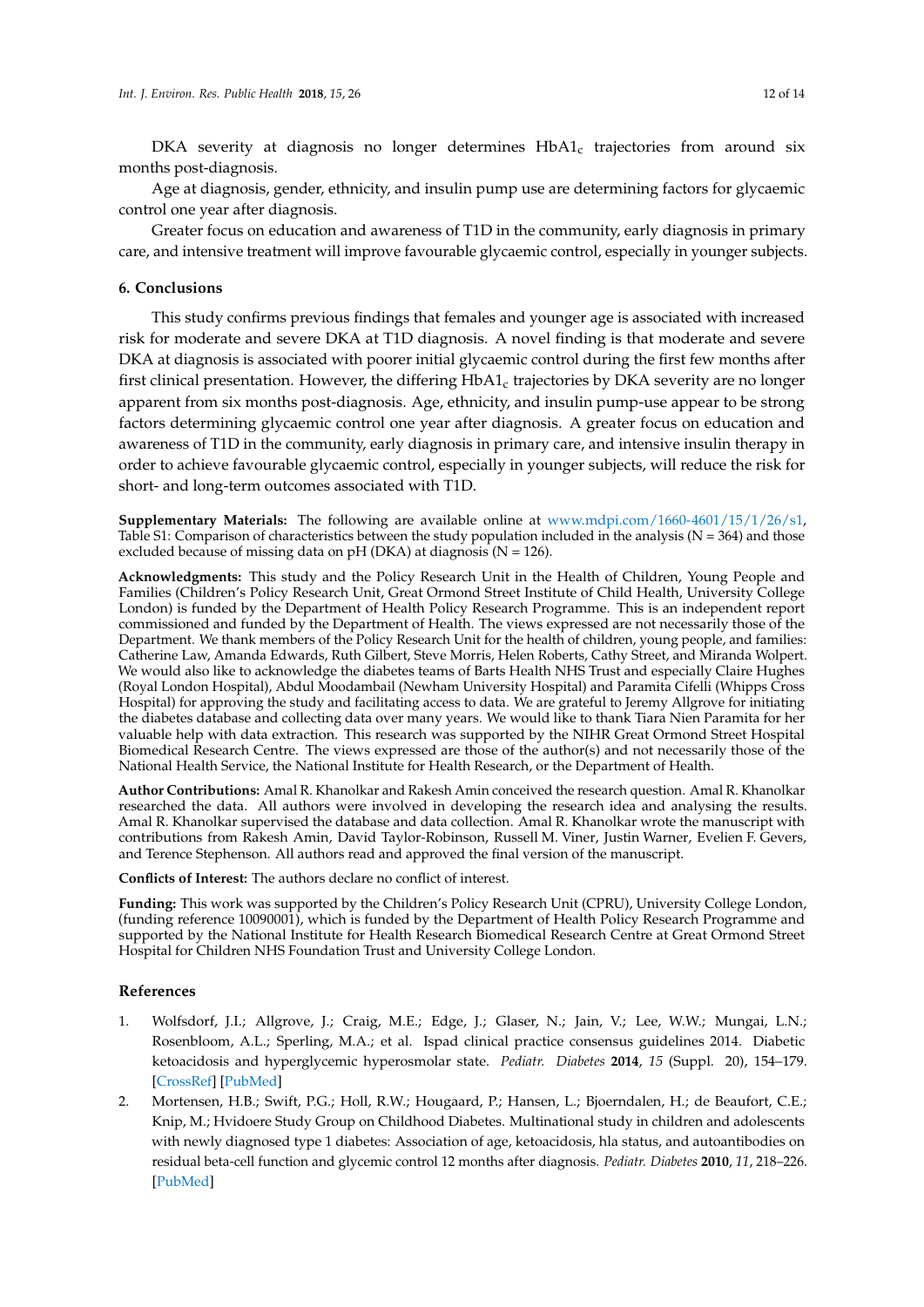DKA severity at diagnosis no longer determines HbA1<sub>c</sub> trajectories from around six months post-diagnosis.

Age at diagnosis, gender, ethnicity, and insulin pump use are determining factors for glycaemic control one year after diagnosis.

Greater focus on education and awareness of T1D in the community, early diagnosis in primary care, and intensive treatment will improve favourable glycaemic control, especially in younger subjects.

## **6. Conclusions**

This study confirms previous findings that females and younger age is associated with increased risk for moderate and severe DKA at T1D diagnosis. A novel finding is that moderate and severe DKA at diagnosis is associated with poorer initial glycaemic control during the first few months after first clinical presentation. However, the differing  $HbA1_c$  trajectories by DKA severity are no longer apparent from six months post-diagnosis. Age, ethnicity, and insulin pump-use appear to be strong factors determining glycaemic control one year after diagnosis. A greater focus on education and awareness of T1D in the community, early diagnosis in primary care, and intensive insulin therapy in order to achieve favourable glycaemic control, especially in younger subjects, will reduce the risk for short- and long-term outcomes associated with T1D.

**Supplementary Materials:** The following are available online at [www.mdpi.com/1660-4601/15/1/26/s1,](www.mdpi.com/1660-4601/15/1/26/s1) Table S1: Comparison of characteristics between the study population included in the analysis ( $N = 364$ ) and those excluded because of missing data on  $pH$  (DKA) at diagnosis (N = 126).

**Acknowledgments:** This study and the Policy Research Unit in the Health of Children, Young People and Families (Children's Policy Research Unit, Great Ormond Street Institute of Child Health, University College London) is funded by the Department of Health Policy Research Programme. This is an independent report commissioned and funded by the Department of Health. The views expressed are not necessarily those of the Department. We thank members of the Policy Research Unit for the health of children, young people, and families: Catherine Law, Amanda Edwards, Ruth Gilbert, Steve Morris, Helen Roberts, Cathy Street, and Miranda Wolpert. We would also like to acknowledge the diabetes teams of Barts Health NHS Trust and especially Claire Hughes (Royal London Hospital), Abdul Moodambail (Newham University Hospital) and Paramita Cifelli (Whipps Cross Hospital) for approving the study and facilitating access to data. We are grateful to Jeremy Allgrove for initiating the diabetes database and collecting data over many years. We would like to thank Tiara Nien Paramita for her valuable help with data extraction. This research was supported by the NIHR Great Ormond Street Hospital Biomedical Research Centre. The views expressed are those of the author(s) and not necessarily those of the National Health Service, the National Institute for Health Research, or the Department of Health.

**Author Contributions:** Amal R. Khanolkar and Rakesh Amin conceived the research question. Amal R. Khanolkar researched the data. All authors were involved in developing the research idea and analysing the results. Amal R. Khanolkar supervised the database and data collection. Amal R. Khanolkar wrote the manuscript with contributions from Rakesh Amin, David Taylor-Robinson, Russell M. Viner, Justin Warner, Evelien F. Gevers, and Terence Stephenson. All authors read and approved the final version of the manuscript.

**Conflicts of Interest:** The authors declare no conflict of interest.

**Funding:** This work was supported by the Children's Policy Research Unit (CPRU), University College London, (funding reference 10090001), which is funded by the Department of Health Policy Research Programme and supported by the National Institute for Health Research Biomedical Research Centre at Great Ormond Street Hospital for Children NHS Foundation Trust and University College London.

#### **References**

- <span id="page-11-0"></span>1. Wolfsdorf, J.I.; Allgrove, J.; Craig, M.E.; Edge, J.; Glaser, N.; Jain, V.; Lee, W.W.; Mungai, L.N.; Rosenbloom, A.L.; Sperling, M.A.; et al. Ispad clinical practice consensus guidelines 2014. Diabetic ketoacidosis and hyperglycemic hyperosmolar state. *Pediatr. Diabetes* **2014**, *15* (Suppl. 20), 154–179. [\[CrossRef\]](http://dx.doi.org/10.1111/pedi.12165) [\[PubMed\]](http://www.ncbi.nlm.nih.gov/pubmed/25041509)
- <span id="page-11-1"></span>2. Mortensen, H.B.; Swift, P.G.; Holl, R.W.; Hougaard, P.; Hansen, L.; Bjoerndalen, H.; de Beaufort, C.E.; Knip, M.; Hvidoere Study Group on Childhood Diabetes. Multinational study in children and adolescents with newly diagnosed type 1 diabetes: Association of age, ketoacidosis, hla status, and autoantibodies on residual beta-cell function and glycemic control 12 months after diagnosis. *Pediatr. Diabetes* **2010**, *11*, 218–226. [\[PubMed\]](http://www.ncbi.nlm.nih.gov/pubmed/19708904)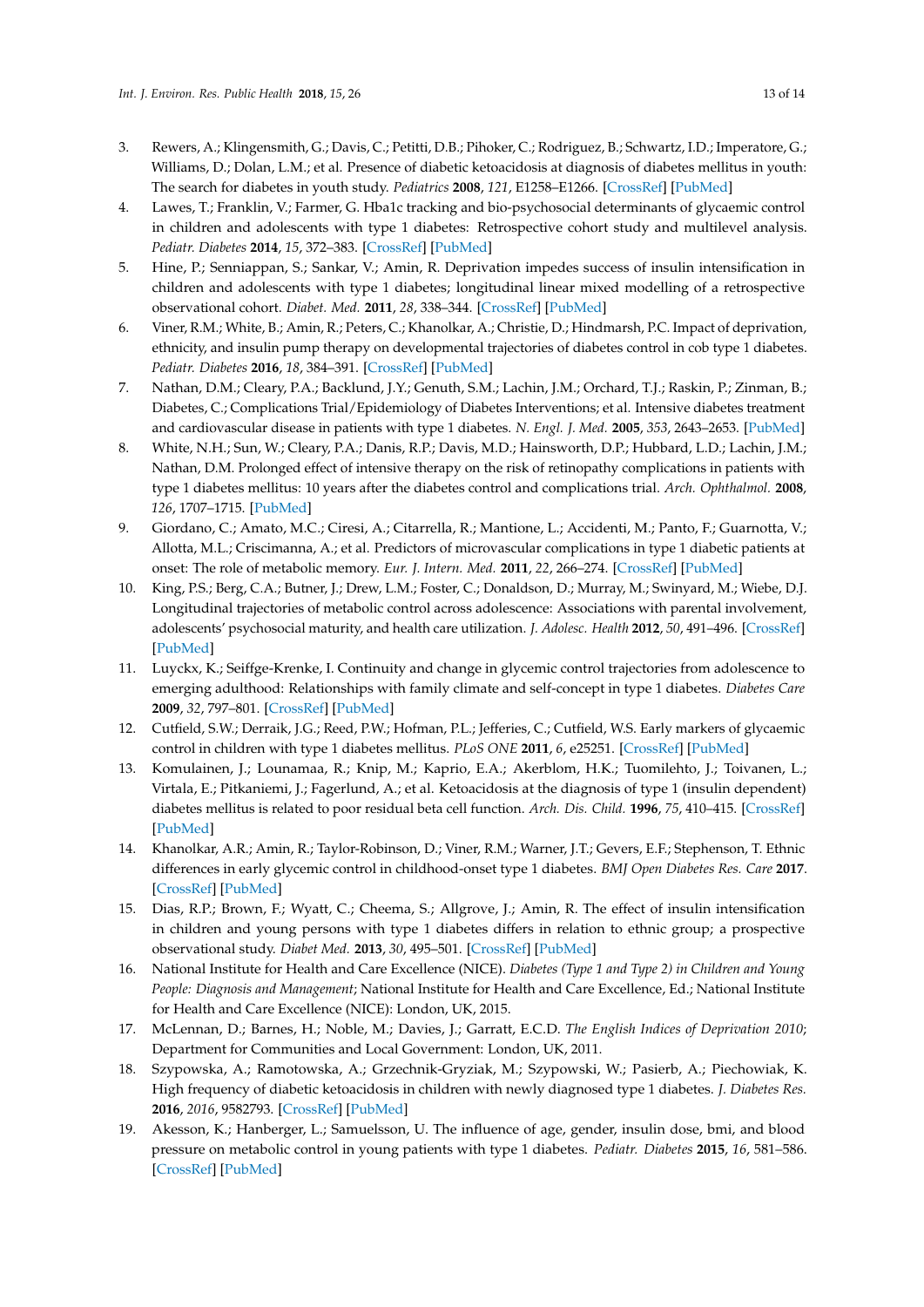- <span id="page-12-0"></span>3. Rewers, A.; Klingensmith, G.; Davis, C.; Petitti, D.B.; Pihoker, C.; Rodriguez, B.; Schwartz, I.D.; Imperatore, G.; Williams, D.; Dolan, L.M.; et al. Presence of diabetic ketoacidosis at diagnosis of diabetes mellitus in youth: The search for diabetes in youth study. *Pediatrics* **2008**, *121*, E1258–E1266. [\[CrossRef\]](http://dx.doi.org/10.1542/peds.2007-1105) [\[PubMed\]](http://www.ncbi.nlm.nih.gov/pubmed/18450868)
- <span id="page-12-1"></span>4. Lawes, T.; Franklin, V.; Farmer, G. Hba1c tracking and bio-psychosocial determinants of glycaemic control in children and adolescents with type 1 diabetes: Retrospective cohort study and multilevel analysis. *Pediatr. Diabetes* **2014**, *15*, 372–383. [\[CrossRef\]](http://dx.doi.org/10.1111/pedi.12100) [\[PubMed\]](http://www.ncbi.nlm.nih.gov/pubmed/24279611)
- 5. Hine, P.; Senniappan, S.; Sankar, V.; Amin, R. Deprivation impedes success of insulin intensification in children and adolescents with type 1 diabetes; longitudinal linear mixed modelling of a retrospective observational cohort. *Diabet. Med.* **2011**, *28*, 338–344. [\[CrossRef\]](http://dx.doi.org/10.1111/j.1464-5491.2010.03170.x) [\[PubMed\]](http://www.ncbi.nlm.nih.gov/pubmed/21309843)
- 6. Viner, R.M.; White, B.; Amin, R.; Peters, C.; Khanolkar, A.; Christie, D.; Hindmarsh, P.C. Impact of deprivation, ethnicity, and insulin pump therapy on developmental trajectories of diabetes control in cob type 1 diabetes. *Pediatr. Diabetes* **2016**, *18*, 384–391. [\[CrossRef\]](http://dx.doi.org/10.1111/pedi.12407) [\[PubMed\]](http://www.ncbi.nlm.nih.gov/pubmed/27534520)
- 7. Nathan, D.M.; Cleary, P.A.; Backlund, J.Y.; Genuth, S.M.; Lachin, J.M.; Orchard, T.J.; Raskin, P.; Zinman, B.; Diabetes, C.; Complications Trial/Epidemiology of Diabetes Interventions; et al. Intensive diabetes treatment and cardiovascular disease in patients with type 1 diabetes. *N. Engl. J. Med.* **2005**, *353*, 2643–2653. [\[PubMed\]](http://www.ncbi.nlm.nih.gov/pubmed/16371630)
- 8. White, N.H.; Sun, W.; Cleary, P.A.; Danis, R.P.; Davis, M.D.; Hainsworth, D.P.; Hubbard, L.D.; Lachin, J.M.; Nathan, D.M. Prolonged effect of intensive therapy on the risk of retinopathy complications in patients with type 1 diabetes mellitus: 10 years after the diabetes control and complications trial. *Arch. Ophthalmol.* **2008**, *126*, 1707–1715. [\[PubMed\]](http://www.ncbi.nlm.nih.gov/pubmed/19064853)
- <span id="page-12-2"></span>9. Giordano, C.; Amato, M.C.; Ciresi, A.; Citarrella, R.; Mantione, L.; Accidenti, M.; Panto, F.; Guarnotta, V.; Allotta, M.L.; Criscimanna, A.; et al. Predictors of microvascular complications in type 1 diabetic patients at onset: The role of metabolic memory. *Eur. J. Intern. Med.* **2011**, *22*, 266–274. [\[CrossRef\]](http://dx.doi.org/10.1016/j.ejim.2011.02.009) [\[PubMed\]](http://www.ncbi.nlm.nih.gov/pubmed/21570646)
- <span id="page-12-3"></span>10. King, P.S.; Berg, C.A.; Butner, J.; Drew, L.M.; Foster, C.; Donaldson, D.; Murray, M.; Swinyard, M.; Wiebe, D.J. Longitudinal trajectories of metabolic control across adolescence: Associations with parental involvement, adolescents' psychosocial maturity, and health care utilization. *J. Adolesc. Health* **2012**, *50*, 491–496. [\[CrossRef\]](http://dx.doi.org/10.1016/j.jadohealth.2011.09.007) [\[PubMed\]](http://www.ncbi.nlm.nih.gov/pubmed/22525113)
- 11. Luyckx, K.; Seiffge-Krenke, I. Continuity and change in glycemic control trajectories from adolescence to emerging adulthood: Relationships with family climate and self-concept in type 1 diabetes. *Diabetes Care* **2009**, *32*, 797–801. [\[CrossRef\]](http://dx.doi.org/10.2337/dc08-1990) [\[PubMed\]](http://www.ncbi.nlm.nih.gov/pubmed/19228859)
- <span id="page-12-4"></span>12. Cutfield, S.W.; Derraik, J.G.; Reed, P.W.; Hofman, P.L.; Jefferies, C.; Cutfield, W.S. Early markers of glycaemic control in children with type 1 diabetes mellitus. *PLoS ONE* **2011**, *6*, e25251. [\[CrossRef\]](http://dx.doi.org/10.1371/journal.pone.0025251) [\[PubMed\]](http://www.ncbi.nlm.nih.gov/pubmed/21966469)
- <span id="page-12-5"></span>13. Komulainen, J.; Lounamaa, R.; Knip, M.; Kaprio, E.A.; Akerblom, H.K.; Tuomilehto, J.; Toivanen, L.; Virtala, E.; Pitkaniemi, J.; Fagerlund, A.; et al. Ketoacidosis at the diagnosis of type 1 (insulin dependent) diabetes mellitus is related to poor residual beta cell function. *Arch. Dis. Child.* **1996**, *75*, 410–415. [\[CrossRef\]](http://dx.doi.org/10.1136/adc.75.5.410) [\[PubMed\]](http://www.ncbi.nlm.nih.gov/pubmed/8957954)
- <span id="page-12-6"></span>14. Khanolkar, A.R.; Amin, R.; Taylor-Robinson, D.; Viner, R.M.; Warner, J.T.; Gevers, E.F.; Stephenson, T. Ethnic differences in early glycemic control in childhood-onset type 1 diabetes. *BMJ Open Diabetes Res. Care* **2017**. [\[CrossRef\]](http://dx.doi.org/10.1136/bmjdrc-2017-000423) [\[PubMed\]](http://www.ncbi.nlm.nih.gov/pubmed/28878940)
- <span id="page-12-7"></span>15. Dias, R.P.; Brown, F.; Wyatt, C.; Cheema, S.; Allgrove, J.; Amin, R. The effect of insulin intensification in children and young persons with type 1 diabetes differs in relation to ethnic group; a prospective observational study. *Diabet Med.* **2013**, *30*, 495–501. [\[CrossRef\]](http://dx.doi.org/10.1111/dme.12022) [\[PubMed\]](http://www.ncbi.nlm.nih.gov/pubmed/22998464)
- <span id="page-12-8"></span>16. National Institute for Health and Care Excellence (NICE). *Diabetes (Type 1 and Type 2) in Children and Young People: Diagnosis and Management*; National Institute for Health and Care Excellence, Ed.; National Institute for Health and Care Excellence (NICE): London, UK, 2015.
- <span id="page-12-9"></span>17. McLennan, D.; Barnes, H.; Noble, M.; Davies, J.; Garratt, E.C.D. *The English Indices of Deprivation 2010*; Department for Communities and Local Government: London, UK, 2011.
- <span id="page-12-10"></span>18. Szypowska, A.; Ramotowska, A.; Grzechnik-Gryziak, M.; Szypowski, W.; Pasierb, A.; Piechowiak, K. High frequency of diabetic ketoacidosis in children with newly diagnosed type 1 diabetes. *J. Diabetes Res.* **2016**, *2016*, 9582793. [\[CrossRef\]](http://dx.doi.org/10.1155/2016/9582793) [\[PubMed\]](http://www.ncbi.nlm.nih.gov/pubmed/26783540)
- <span id="page-12-11"></span>19. Akesson, K.; Hanberger, L.; Samuelsson, U. The influence of age, gender, insulin dose, bmi, and blood pressure on metabolic control in young patients with type 1 diabetes. *Pediatr. Diabetes* **2015**, *16*, 581–586. [\[CrossRef\]](http://dx.doi.org/10.1111/pedi.12219) [\[PubMed\]](http://www.ncbi.nlm.nih.gov/pubmed/25270077)